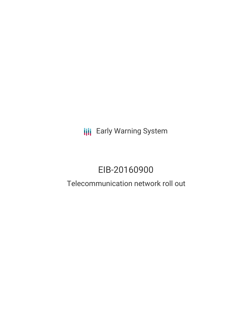**III** Early Warning System

# EIB-20160900

# Telecommunication network roll out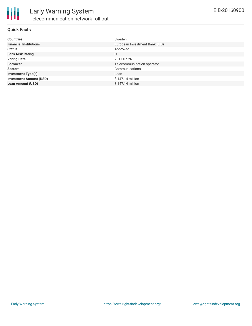

#### **Quick Facts**

| <b>Countries</b>               | Sweden                         |
|--------------------------------|--------------------------------|
| <b>Financial Institutions</b>  | European Investment Bank (EIB) |
| <b>Status</b>                  | Approved                       |
| <b>Bank Risk Rating</b>        | U                              |
| <b>Voting Date</b>             | 2017-07-26                     |
| <b>Borrower</b>                | Telecommunication operator     |
| <b>Sectors</b>                 | Communications                 |
| <b>Investment Type(s)</b>      | Loan                           |
| <b>Investment Amount (USD)</b> | $$147.14$ million              |
| <b>Loan Amount (USD)</b>       | $$147.14$ million              |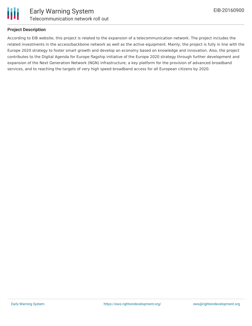

# **Project Description**

According to EIB website, this project is related to the expansion of a telecommunication network. The project includes the related investments in the access/backbone network as well as the active equipment. Mainly, the project is fully in line with the Europe 2020 strategy to foster smart growth and develop an economy based on knowledge and innovation. Also, the project contributes to the Digital Agenda for Europe flagship initiative of the Europe 2020 strategy through further development and expansion of the Next Generation Network (NGN) infrastructure, a key platform for the provision of advanced broadband services, and to reaching the targets of very high speed broadband access for all European citizens by 2020.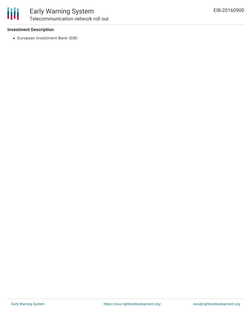

# **Investment Description**

European Investment Bank (EIB)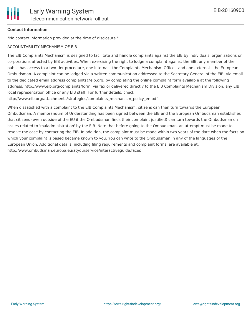

# **Contact Information**

\*No contact information provided at the time of disclosure.\*

#### ACCOUNTABILITY MECHANISM OF EIB

The EIB Complaints Mechanism is designed to facilitate and handle complaints against the EIB by individuals, organizations or corporations affected by EIB activities. When exercising the right to lodge a complaint against the EIB, any member of the public has access to a two-tier procedure, one internal - the Complaints Mechanism Office - and one external - the European Ombudsman. A complaint can be lodged via a written communication addressed to the Secretary General of the EIB, via email to the dedicated email address complaints@eib.org, by completing the online complaint form available at the following address: http://www.eib.org/complaints/form, via fax or delivered directly to the EIB Complaints Mechanism Division, any EIB local representation office or any EIB staff. For further details, check:

http://www.eib.org/attachments/strategies/complaints\_mechanism\_policy\_en.pdf

When dissatisfied with a complaint to the EIB Complaints Mechanism, citizens can then turn towards the European Ombudsman. A memorandum of Understanding has been signed between the EIB and the European Ombudsman establishes that citizens (even outside of the EU if the Ombudsman finds their complaint justified) can turn towards the Ombudsman on issues related to 'maladministration' by the EIB. Note that before going to the Ombudsman, an attempt must be made to resolve the case by contacting the EIB. In addition, the complaint must be made within two years of the date when the facts on which your complaint is based became known to you. You can write to the Ombudsman in any of the languages of the European Union. Additional details, including filing requirements and complaint forms, are available at: http://www.ombudsman.europa.eu/atyourservice/interactiveguide.faces